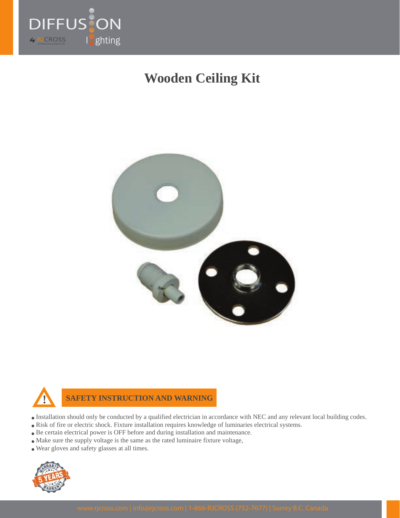

# **Wooden Ceiling Kit**





**SAFETY INSTRUCTION AND WARNING**

- Installation should only be conducted by a qualified electrician in accordance with NEC and any relevant local building codes.
- Risk of fire or electric shock. Fixture installation requires knowledge of luminaries electrical systems.
- Be certain electrical power is OFF before and during installation and maintenance.
- Make sure the supply voltage is the same as the rated luminaire fixture voltage,
- Wear gloves and safety glasses at all times.

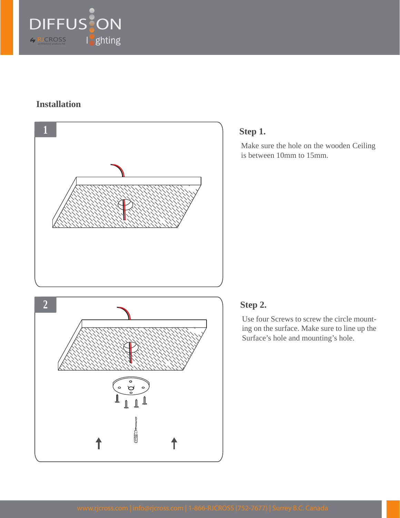

### **Installation**



## **Step 1.**

Make sure the hole on the wooden Ceiling is between 10mm to 15mm.

## **Step 2.**

Use four Screws to screw the circle mounting on the surface. Make sure to line up the Surface's hole and mounting's hole.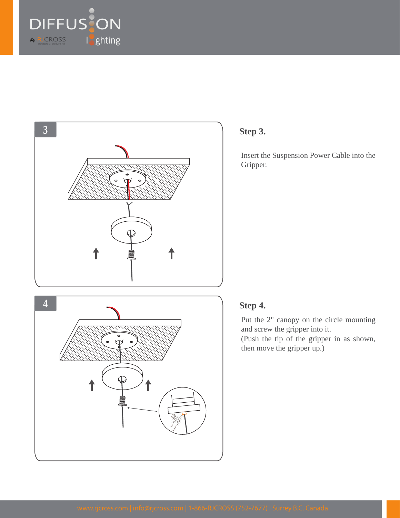







Insert the Suspension Power Cable into the Gripper.

#### **Step 4.**

Put the 2" canopy on the circle mounting and screw the gripper into it. (Push the tip of the gripper in as shown, then move the gripper up.)